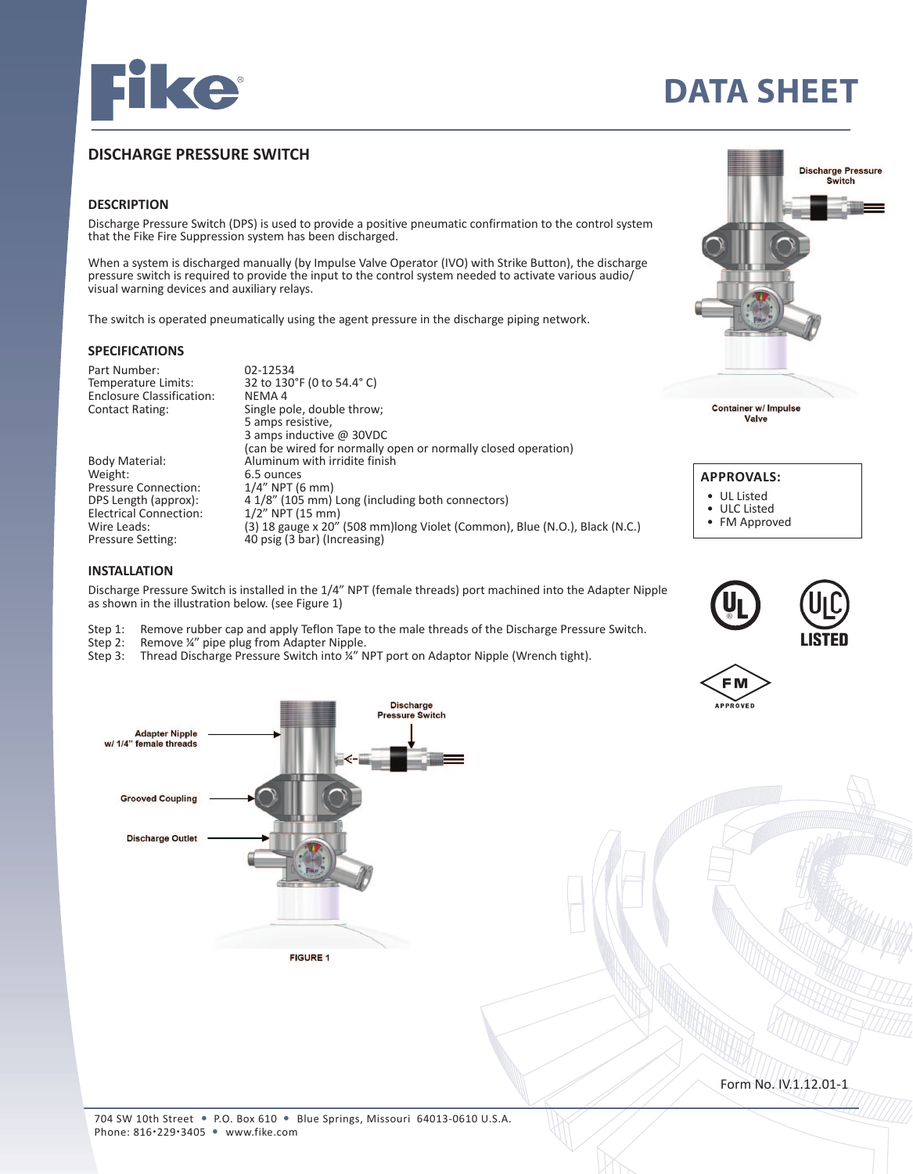

# **DATA SHEET**

## **DISCHARGE PRESSURE SWITCH**

#### **DESCRIPTION**

Discharge Pressure Switch (DPS) is used to provide a positive pneumatic confirmation to the control system that the Fike Fire Suppression system has been discharged.

When a system is discharged manually (by Impulse Valve Operator (IVO) with Strike Button), the discharge pressure switch is required to provide the input to the control system needed to activate various audio/ visual warning devices and auxiliary relays.

The switch is operated pneumatically using the agent pressure in the discharge piping network.

#### **SPECIFICATIONS**

Part Number: 02-12534<br>Temperature Limits: 32 to 130 32 to 130°F (0 to 54.4° C)<br>NEMA 4 Enclosure Classification:<br>Contact Rating: Single pole, double throw; 5 amps resistive, 3 amps inductive @ 30VDC (can be wired for normally open or normally closed operation)<br>Body Material: Aluminum with irridite finish Body Material: Aluminum with irridite finish<br>Weight: 6.5 ounces  $6.5$  ounces<br> $1/4$ " NPT (6 mm) Pressure Connection:<br>DPS Length (approx):  $4.1/8''$  (105 mm) Long (including both connectors)<br>1/2" NPT (15 mm) Electrical Connection:<br>Wire Leads: Wire Leads: (3) 18 gauge x 20" (508 mm)long Violet (Common), Blue (N.O.), Black (N.C.)<br>Pressure Setting: 40 psig (3 bar) (Increasing) 40 psig (3 bar) (Increasing)

#### **INSTALLATION**

Discharge Pressure Switch is installed in the 1/4" NPT (female threads) port machined into the Adapter Nipple as shown in the illustration below. (see Figure 1)

- Step 1: Remove rubber cap and apply Teflon Tape to the male threads of the Discharge Pressure Switch.<br>Step 2: Remove ¼" pipe plug from Adapter Nipple.
- Remove ¼" pipe plug from Adapter Nipple.
- Step 3: Thread Discharge Pressure Switch into ¼" NPT port on Adaptor Nipple (Wrench tight).



**Container w/ Impulse** Valve

| <b>APPROVALS:</b> |                   |  |
|-------------------|-------------------|--|
|                   | • UL Listed       |  |
| $\bullet$         | <b>ULC Listed</b> |  |

• FM Approved









Form No. IV.1.12.01-1